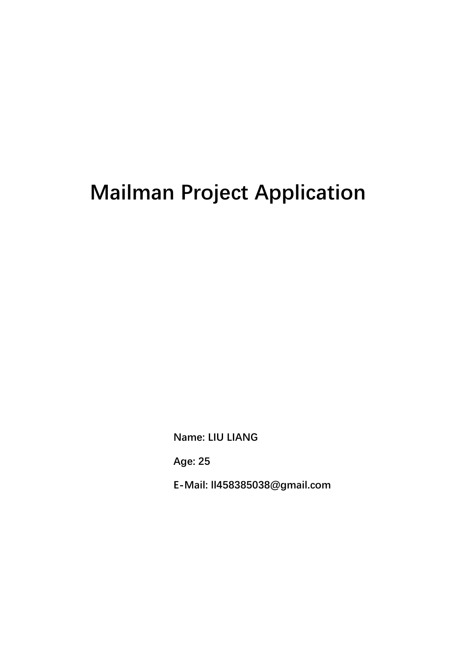# **Mailman Project Application**

**Name: LIU LIANG** 

**Age: 25** 

**E-Mail: ll458385038@gmail.com**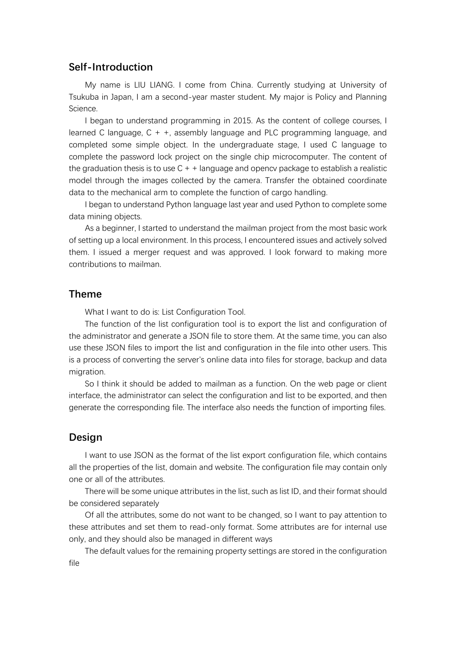# **Self-Introduction**

My name is LIU LIANG. I come from China. Currently studying at University of Tsukuba in Japan, I am a second-year master student. My major is Policy and Planning Science.

I began to understand programming in 2015. As the content of college courses, I learned C language, C + +, assembly language and PLC programming language, and completed some simple object. In the undergraduate stage, I used C language to complete the password lock project on the single chip microcomputer. The content of the graduation thesis is to use  $C + \pm$  language and opency package to establish a realistic model through the images collected by the camera. Transfer the obtained coordinate data to the mechanical arm to complete the function of cargo handling.

I began to understand Python language last year and used Python to complete some data mining objects.

As a beginner, I started to understand the mailman project from the most basic work of setting up a local environment. In this process, I encountered issues and actively solved them. I issued a merger request and was approved. I look forward to making more contributions to mailman.

# **Theme**

What I want to do is: List Configuration Tool.

The function of the list configuration tool is to export the list and configuration of the administrator and generate a JSON file to store them. At the same time, you can also use these JSON files to import the list and configuration in the file into other users. This is a process of converting the server's online data into files for storage, backup and data migration.

So I think it should be added to mailman as a function. On the web page or client interface, the administrator can select the configuration and list to be exported, and then generate the corresponding file. The interface also needs the function of importing files.

# **Design**

I want to use JSON as the format of the list export configuration file, which contains all the properties of the list, domain and website. The configuration file may contain only one or all of the attributes.

There will be some unique attributes in the list, such as list ID, and their format should be considered separately

Of all the attributes, some do not want to be changed, so I want to pay attention to these attributes and set them to read-only format. Some attributes are for internal use only, and they should also be managed in different ways

The default values for the remaining property settings are stored in the configuration file